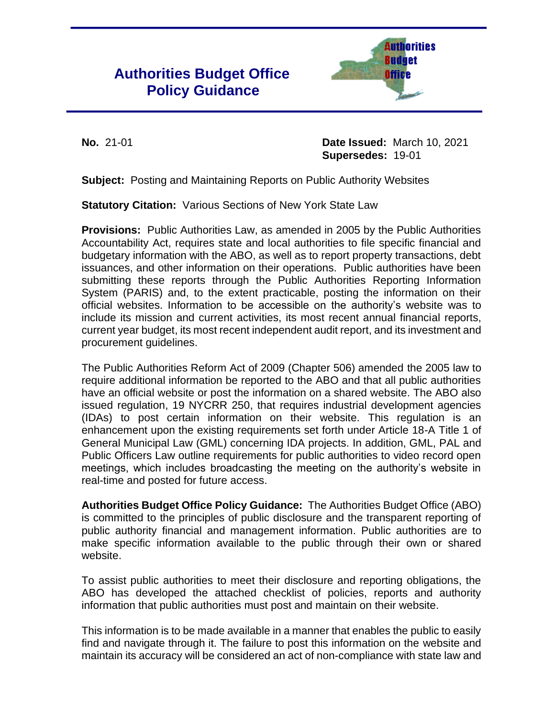# **Authorities Budget Office Policy Guidance**



**No.** 21-01 **Date Issued:** March 10, 2021 **Supersedes:** 19-01

**Subject:** Posting and Maintaining Reports on Public Authority Websites

**Statutory Citation:** Various Sections of New York State Law

**Provisions:** Public Authorities Law, as amended in 2005 by the Public Authorities Accountability Act, requires state and local authorities to file specific financial and budgetary information with the ABO, as well as to report property transactions, debt issuances, and other information on their operations. Public authorities have been submitting these reports through the Public Authorities Reporting Information System (PARIS) and, to the extent practicable, posting the information on their official websites. Information to be accessible on the authority's website was to include its mission and current activities, its most recent annual financial reports, current year budget, its most recent independent audit report, and its investment and procurement guidelines.

The Public Authorities Reform Act of 2009 (Chapter 506) amended the 2005 law to require additional information be reported to the ABO and that all public authorities have an official website or post the information on a shared website. The ABO also issued regulation, 19 NYCRR 250, that requires industrial development agencies (IDAs) to post certain information on their website. This regulation is an enhancement upon the existing requirements set forth under Article 18-A Title 1 of General Municipal Law (GML) concerning IDA projects. In addition, GML, PAL and Public Officers Law outline requirements for public authorities to video record open meetings, which includes broadcasting the meeting on the authority's website in real-time and posted for future access.

**Authorities Budget Office Policy Guidance:** The Authorities Budget Office (ABO) is committed to the principles of public disclosure and the transparent reporting of public authority financial and management information. Public authorities are to make specific information available to the public through their own or shared website.

To assist public authorities to meet their disclosure and reporting obligations, the ABO has developed the attached checklist of policies, reports and authority information that public authorities must post and maintain on their website.

This information is to be made available in a manner that enables the public to easily find and navigate through it. The failure to post this information on the website and maintain its accuracy will be considered an act of non-compliance with state law and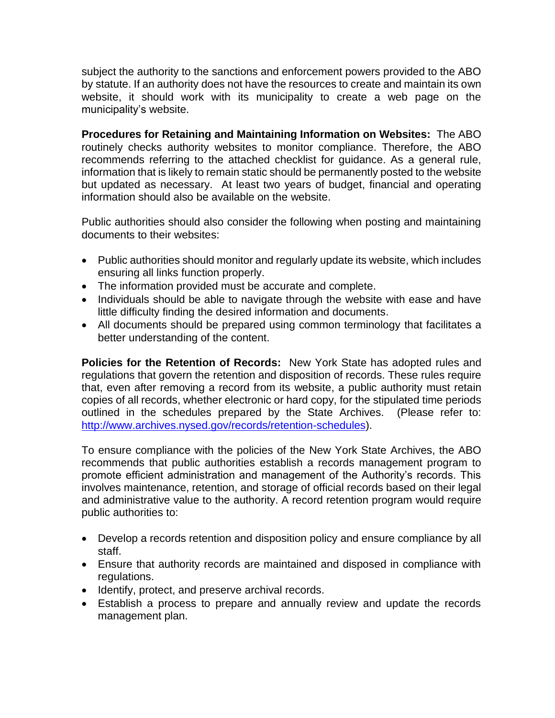subject the authority to the sanctions and enforcement powers provided to the ABO by statute. If an authority does not have the resources to create and maintain its own website, it should work with its municipality to create a web page on the municipality's website.

**Procedures for Retaining and Maintaining Information on Websites:** The ABO routinely checks authority websites to monitor compliance. Therefore, the ABO recommends referring to the attached checklist for guidance. As a general rule, information that is likely to remain static should be permanently posted to the website but updated as necessary. At least two years of budget, financial and operating information should also be available on the website.

Public authorities should also consider the following when posting and maintaining documents to their websites:

- Public authorities should monitor and regularly update its website, which includes ensuring all links function properly.
- The information provided must be accurate and complete.
- Individuals should be able to navigate through the website with ease and have little difficulty finding the desired information and documents.
- All documents should be prepared using common terminology that facilitates a better understanding of the content.

**Policies for the Retention of Records:** New York State has adopted rules and regulations that govern the retention and disposition of records. These rules require that, even after removing a record from its website, a public authority must retain copies of all records, whether electronic or hard copy, for the stipulated time periods outlined in the schedules prepared by the State Archives. (Please refer to: [http://www.archives.nysed.gov/records/retention-schedules\)](http://www.archives.nysed.gov/records/retention-schedules).

To ensure compliance with the policies of the New York State Archives, the ABO recommends that public authorities establish a records management program to promote efficient administration and management of the Authority's records. This involves maintenance, retention, and storage of official records based on their legal and administrative value to the authority. A record retention program would require public authorities to:

- Develop a records retention and disposition policy and ensure compliance by all staff.
- Ensure that authority records are maintained and disposed in compliance with regulations.
- Identify, protect, and preserve archival records.
- Establish a process to prepare and annually review and update the records management plan.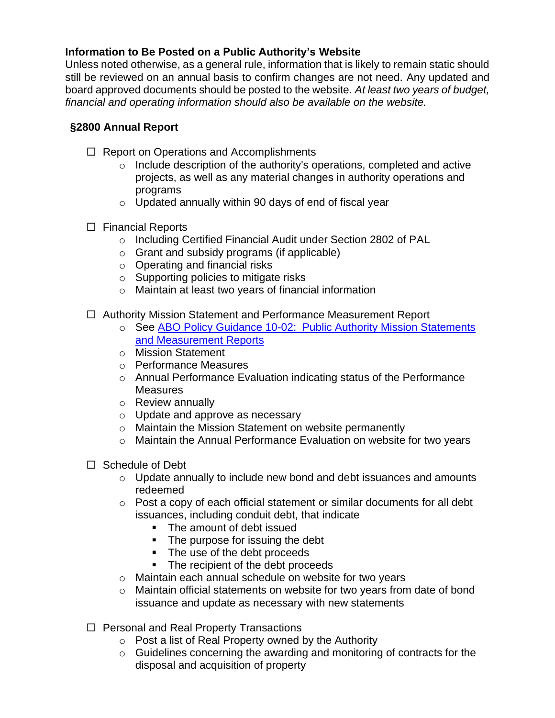## **Information to Be Posted on a Public Authority's Website**

Unless noted otherwise, as a general rule, information that is likely to remain static should still be reviewed on an annual basis to confirm changes are not need. Any updated and board approved documents should be posted to the website. *At least two years of budget, financial and operating information should also be available on the website.*

## **§2800 Annual Report**

- $\Box$  Report on Operations and Accomplishments
	- o Include description of the authority's operations, completed and active projects, as well as any material changes in authority operations and programs
	- o Updated annually within 90 days of end of fiscal year
- $\Box$  Financial Reports
	- o Including Certified Financial Audit under Section 2802 of PAL
	- o Grant and subsidy programs (if applicable)
	- o Operating and financial risks
	- o Supporting policies to mitigate risks
	- o Maintain at least two years of financial information
- Authority Mission Statement and Performance Measurement Report
	- o See [ABO Policy Guidance 10-02: Public Authority Mission Statements](https://www.abo.ny.gov/policyguidance/10-02MissionStatement.pdf)  [and Measurement Reports](https://www.abo.ny.gov/policyguidance/10-02MissionStatement.pdf)
	- o Mission Statement
	- o Performance Measures
	- o Annual Performance Evaluation indicating status of the Performance **Measures**
	- o Review annually
	- o Update and approve as necessary
	- o Maintain the Mission Statement on website permanently
	- o Maintain the Annual Performance Evaluation on website for two years
- $\Box$  Schedule of Debt
	- o Update annually to include new bond and debt issuances and amounts redeemed
	- o Post a copy of each official statement or similar documents for all debt issuances, including conduit debt, that indicate
		- The amount of debt issued
		- The purpose for issuing the debt
		- The use of the debt proceeds
		- The recipient of the debt proceeds
	- o Maintain each annual schedule on website for two years
	- o Maintain official statements on website for two years from date of bond issuance and update as necessary with new statements
- □ Personal and Real Property Transactions
	- $\circ$  Post a list of Real Property owned by the Authority
	- o Guidelines concerning the awarding and monitoring of contracts for the disposal and acquisition of property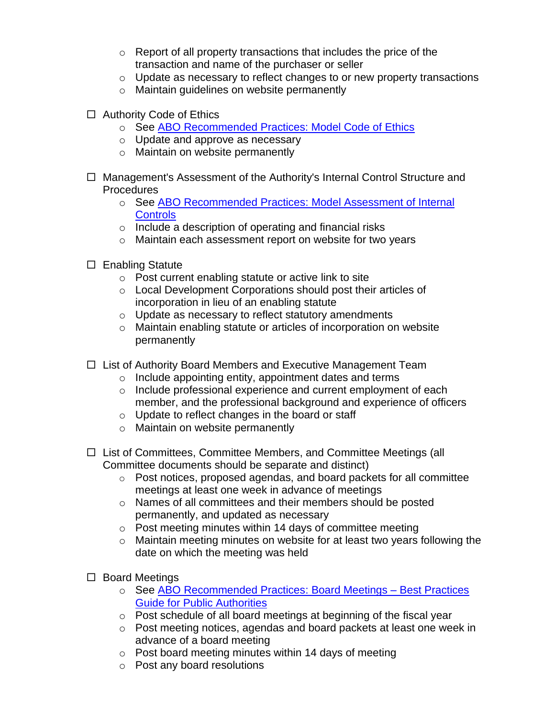- $\circ$  Report of all property transactions that includes the price of the transaction and name of the purchaser or seller
- $\circ$  Update as necessary to reflect changes to or new property transactions
- o Maintain guidelines on website permanently
- □ Authority Code of Ethics
	- o See [ABO Recommended Practices: Model Code of Ethics](https://www.abo.ny.gov/recommendedpractices/ModelCodeOfEthicsCharter.pdf)
	- o Update and approve as necessary
	- o Maintain on website permanently
- □ Management's Assessment of the Authority's Internal Control Structure and **Procedures** 
	- o See ABO Recommended Practices: [Model Assessment of Internal](https://www.abo.ny.gov/recommendedpractices/InternalControlAssessmentGuidanceRevisedApril2011.pdf)  **[Controls](https://www.abo.ny.gov/recommendedpractices/InternalControlAssessmentGuidanceRevisedApril2011.pdf)**
	- o Include a description of operating and financial risks
	- o Maintain each assessment report on website for two years
- $\Box$  Enabling Statute
	- o Post current enabling statute or active link to site
	- o Local Development Corporations should post their articles of incorporation in lieu of an enabling statute
	- o Update as necessary to reflect statutory amendments
	- o Maintain enabling statute or articles of incorporation on website permanently
- $\Box$  List of Authority Board Members and Executive Management Team
	- o Include appointing entity, appointment dates and terms
	- o Include professional experience and current employment of each member, and the professional background and experience of officers
	- o Update to reflect changes in the board or staff
	- o Maintain on website permanently
- □ List of Committees, Committee Members, and Committee Meetings (all Committee documents should be separate and distinct)
	- $\circ$  Post notices, proposed agendas, and board packets for all committee meetings at least one week in advance of meetings
	- o Names of all committees and their members should be posted permanently, and updated as necessary
	- o Post meeting minutes within 14 days of committee meeting
	- o Maintain meeting minutes on website for at least two years following the date on which the meeting was held
- $\square$  Board Meetings
	- o See [ABO Recommended Practices:](https://www.abo.ny.gov/recommendedpractices/BoardMeetings_BestPracticesGuideforPublicAuthorities.pdf) Board Meetings Best Practices [Guide for Public Authorities](https://www.abo.ny.gov/recommendedpractices/BoardMeetings_BestPracticesGuideforPublicAuthorities.pdf)
	- o Post schedule of all board meetings at beginning of the fiscal year
	- o Post meeting notices, agendas and board packets at least one week in advance of a board meeting
	- $\circ$  Post board meeting minutes within 14 days of meeting
	- o Post any board resolutions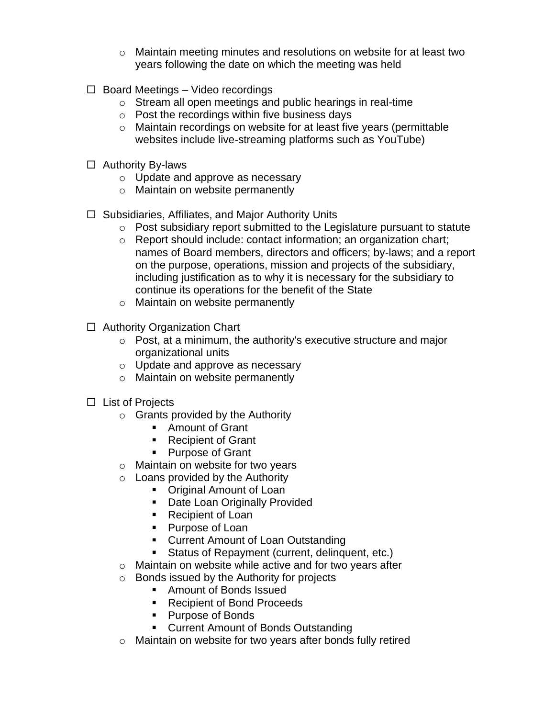- $\circ$  Maintain meeting minutes and resolutions on website for at least two years following the date on which the meeting was held
- $\Box$  Board Meetings Video recordings
	- o Stream all open meetings and public hearings in real-time
	- o Post the recordings within five business days
	- o Maintain recordings on website for at least five years (permittable websites include live-streaming platforms such as YouTube)
- $\Box$  Authority By-laws
	- o Update and approve as necessary
	- o Maintain on website permanently
- $\Box$  Subsidiaries, Affiliates, and Major Authority Units
	- o Post subsidiary report submitted to the Legislature pursuant to statute
	- o Report should include: contact information; an organization chart; names of Board members, directors and officers; by-laws; and a report on the purpose, operations, mission and projects of the subsidiary, including justification as to why it is necessary for the subsidiary to continue its operations for the benefit of the State
	- o Maintain on website permanently
- $\Box$  Authority Organization Chart
	- o Post, at a minimum, the authority's executive structure and major organizational units
	- o Update and approve as necessary
	- o Maintain on website permanently
- $\Box$  List of Projects
	- $\circ$  Grants provided by the Authority
		- Amount of Grant
		- Recipient of Grant
		- Purpose of Grant
	- o Maintain on website for two years
	- $\circ$  Loans provided by the Authority
		- Original Amount of Loan
		- Date Loan Originally Provided
		- Recipient of Loan
		- Purpose of Loan
		- Current Amount of Loan Outstanding
		- Status of Repayment (current, delinquent, etc.)
	- o Maintain on website while active and for two years after
	- o Bonds issued by the Authority for projects
		- Amount of Bonds Issued
		- Recipient of Bond Proceeds
		- Purpose of Bonds
		- Current Amount of Bonds Outstanding
	- o Maintain on website for two years after bonds fully retired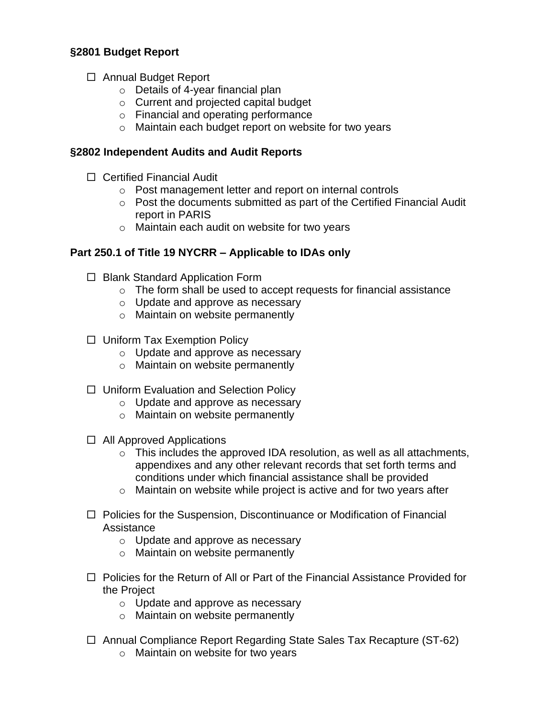## **§2801 Budget Report**

- □ Annual Budget Report
	- o Details of 4-year financial plan
	- o Current and projected capital budget
	- o Financial and operating performance
	- o Maintain each budget report on website for two years

### **§2802 Independent Audits and Audit Reports**

- Certified Financial Audit
	- o Post management letter and report on internal controls
	- o Post the documents submitted as part of the Certified Financial Audit report in PARIS
	- o Maintain each audit on website for two years

### **Part 250.1 of Title 19 NYCRR – Applicable to IDAs only**

- $\Box$  Blank Standard Application Form
	- o The form shall be used to accept requests for financial assistance
	- o Update and approve as necessary
	- o Maintain on website permanently
- $\Box$  Uniform Tax Exemption Policy
	- o Update and approve as necessary
	- o Maintain on website permanently
- □ Uniform Evaluation and Selection Policy
	- o Update and approve as necessary
	- o Maintain on website permanently
- $\Box$  All Approved Applications
	- o This includes the approved IDA resolution, as well as all attachments, appendixes and any other relevant records that set forth terms and conditions under which financial assistance shall be provided
	- o Maintain on website while project is active and for two years after
- $\Box$  Policies for the Suspension, Discontinuance or Modification of Financial Assistance
	- o Update and approve as necessary
	- o Maintain on website permanently
- $\Box$  Policies for the Return of All or Part of the Financial Assistance Provided for the Project
	- o Update and approve as necessary
	- o Maintain on website permanently
- □ Annual Compliance Report Regarding State Sales Tax Recapture (ST-62)
	- o Maintain on website for two years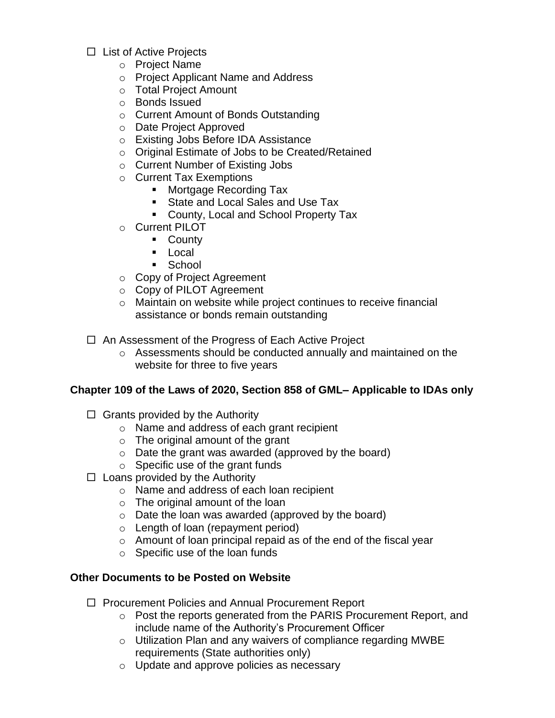- $\Box$  List of Active Projects
	- o Project Name
	- o Project Applicant Name and Address
	- o Total Project Amount
	- o Bonds Issued
	- o Current Amount of Bonds Outstanding
	- o Date Project Approved
	- o Existing Jobs Before IDA Assistance
	- o Original Estimate of Jobs to be Created/Retained
	- o Current Number of Existing Jobs
	- o Current Tax Exemptions
		- Mortgage Recording Tax
		- State and Local Sales and Use Tax
		- County, Local and School Property Tax
	- o Current PILOT
		- County
		- Local
		- School
	- o Copy of Project Agreement
	- o Copy of PILOT Agreement
	- o Maintain on website while project continues to receive financial assistance or bonds remain outstanding
- $\Box$  An Assessment of the Progress of Each Active Project
	- $\circ$  Assessments should be conducted annually and maintained on the website for three to five years

#### **Chapter 109 of the Laws of 2020, Section 858 of GML– Applicable to IDAs only**

- $\Box$  Grants provided by the Authority
	- o Name and address of each grant recipient
	- $\circ$  The original amount of the grant
	- o Date the grant was awarded (approved by the board)
	- $\circ$  Specific use of the grant funds
- $\Box$  Loans provided by the Authority
	- o Name and address of each loan recipient
	- $\circ$  The original amount of the loan
	- o Date the loan was awarded (approved by the board)
	- o Length of loan (repayment period)
	- o Amount of loan principal repaid as of the end of the fiscal year
	- o Specific use of the loan funds

## **Other Documents to be Posted on Website**

- □ Procurement Policies and Annual Procurement Report
	- $\circ$  Post the reports generated from the PARIS Procurement Report, and include name of the Authority's Procurement Officer
	- o Utilization Plan and any waivers of compliance regarding MWBE requirements (State authorities only)
	- o Update and approve policies as necessary